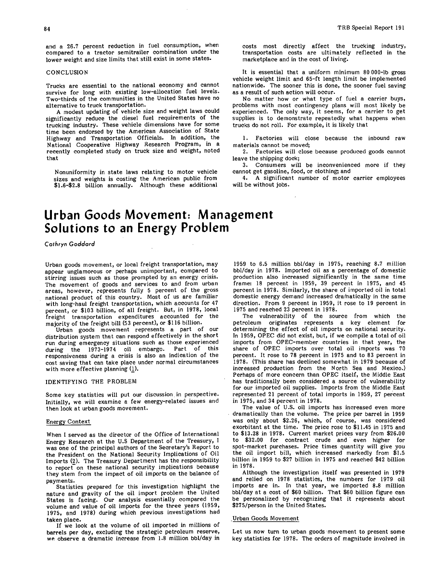and a 26.7 percent reduction in fuel consumption, when compared to a tractor semitrailer combination under the lower weight and size limits that still exist in some states.

#### **CONCLUSION**

Trucks are essential to the national economy and cannot survive for long with existing low-allocation fuel levels. Two-thirds of the communities in the United States have no alternative to truck transportation.

A modest updating of vehicle size and weight laws could significantly reduce the diesel fuel requirements of the trucking industry. These vehicle dimensions have for some time been endorsed by the American Association of State Highway and Transportation Officials. In addition, the National Cooperative Highway Research Program, in a recently completed study on truck size and weight, noted that

Nonuniformity in state laws relating to motor vehicle sizes and weights is costing the American public from \$1.6-\$2.8 billion annually. Although these additional costs most directly affect the trucking industry, transportation costs are ultimately reflected in the marketplace and in the cost of living.

It is essential that a uniform minimum 80 000-lb gross vehicle weight limit and 65-ft length limit be implemented nationwide. The sooner this is done, the sooner fuel saving as a result of such action will occur.

No matter how or what type of fuel a carrier buys, problems with most contingency plans will most likely be experienced. The only way, it seems, for a carrier to get supplies is to demonstrate repeatedly what happens when trucks do not roll. For example, it is likely that

Factories will close because the inbound raw materials cannot be moved;

Factories will close because produced goods cannot leave the shipping dock;

Consumers will be inconvenienced more if they cannot get gasoline, food, or clothing; and

A significant number of motor carrier employees will be without jobs.

# **Urban Goods Movement: Management Solutions to an Energy Problem**

Cathryn Goddard

Urban goods movement, or local freight transportation, may appear unglamorous or perhaps unimportant, compared to stirring issues such as those prompted by an energy crisis. The movement of goods and services to and from urban areas, however, represents fully 5 percent of the gross national product of this country. Most of us are familiar with long-haul freight transportation, which accounts for 47 percent, or \$103 billion, of all freight. But, in 1978, local freight transportation expenditures accounted for the majority of the freight bill (53 percent), or \$116 billion.

Urban goods movement represents a part of our distribution system that can respond effectively in the short run during emergency situations such as those experienced during the 1973-1974 oil embargo. Part of this responsiveness during a crisis is also an indication of the cost saving that can take place under normal circumstances with more effective planning  $(1)$ .

#### IDENTIFYING THE PROBLEM

Some key statistics will put our discussion in perspective. Initially, we will examine a few energy-related issues and then look at urban goods movement.

## Energy Context

When I served as the director of the Office of International Energy Research at the U.S Department of the Treasury, I was one of the principal authors of the Secretary's Report to the President on the National Security Implications of Oil Imports (2). The Treasury Department has the responsibility to report on these national security implications because they stem from the impact of oil imports on the balance of payments.

Statistics prepared for this investigation highlight the nature and gravity of the oil import problem the United States is facing. Our analysis essentially compared the volume and value of oil imports for the three years (1959, 1975, and 1978) during which previous investigations had taken place.

If we look at the volume of oil imported in millions of barrels per day, excluding the strategic petroleum reserve, we observe a dramatic increase from 1.8 million bbl/day in 1959 to 6.5 million bbl/day in 1975, reaching 8.7 million bbl/day in 1978. Imported oil as a percentage of domestic production also increased significantly in the same time frame: 18 percent in 1959, 39 percent in 1975, and 45 percent in 1978. Similarly, the share of imported oil in total domestic energy demand increased dramatically in the same direction. From 9 percent in 1959, it rose to 19 percent in 1975 and reached 23 percent in 1978.

The vulnerability of the source from which the petroleum originates represents a key element for determining the effect of oil imports on national security. In 1959, OPEC did not exist, but, if we compile a total of oil imports from OPEC-member countries in that year, the share of OPEC imports over total oil imports was 70 percent. It rose to 78 percent in 1975 and to 83 percent in 1978. (This share has declined somewhat in 1979 because of increased production from the North Sea and Mexico.) Perhaps of more concern than OPEC itself, the Middle East has traditionally been considered a source of vulnerability for our imported oil supplies. Imports from the Middle East represented 21 percent of total imports in 1959, 27 percent in 1975, and 34 percent in 1978.

The value of U.S. oil imports has increased even more dramatically than the volume. The price per barrel in 1959 was only about \$2.26, which, of course, was considered exorbitant at the time. The price rose to \$11.45 in 1975 and to \$13.28 in 1978. Current market prices vary from \$26.00 to \$32.00 for contract crude and even higher for spot-market purchases. Price times quantity will give you the oil import bill, which increased markedly from \$1.5 billion in 1959 to \$27 billion in 1975 and reached \$42 billion in 1978.

Although the investigation itself was presented in 1979 and relied on 1978 statistics, the numbers for 1979 oil imports are in. In that year, we imported 8.8 million bbl/day at a cost of \$60 billion. That \$60 billion figure can be personalized by recognizing that it represents about \$275/person in the United States.

#### Urban Goods Movement

Let us now turn to urban goods movement to present some key statistics for 1978. The orders of magnitude involved in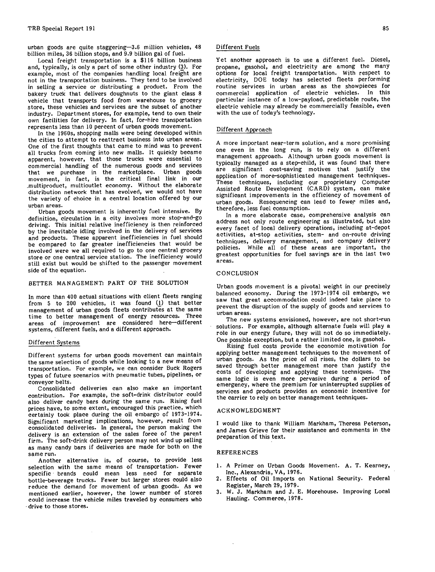urban goods are quite staggering-3.6 million vehicles, 48 billion miles, 36 billion stops, and 9.9 billion gal of fuel.

Local freight transportation is a \$116 billion business and, typically, is only a part of some other industry (3). For example, most of the companies handling local freight are not in the transportation business. They tend to be involved in selling a service or distributing a product. From the bakery truck that delivers doughnuts to the giant class 8 vehicle that transports food from warehouse to grocery store, these vehicles and services are the subset of another industry. Department stores, for example, tend to own their own facilities for delivery. In fact, for-hire transportation represents less than 10 percent of urban goods movement.

In the 1960s, shopping malls were being developed within the cities to attempt to reattract business into urban areas. One of the first thoughts that came to mind was to prevent all trucks from coming into new malls. It quickly became apparent, however, that those trucks were essential to commercial handling of the numerous goods and services that we purchase in the marketplace. Urban goods movement, in fact, is the critical final link in our multiproduct, multioutlet economy. Without the elaborate distribution network that has evolved, we would not have the variety of choice in a central location offered by our urban areas.

Urban goods movement is inherently fuel intensive. By definition, circulation in a city involves more stop-and-go driving. This initial relative inefficiency is then reinforced by the inevitable idling involved in the delivery of services and products. These apparent inefficiencies in fuel should be compared to far greater inefficiencies that would be involved were we all required to go to one central grocery store or one central service station. The inefficiency would still exist but would be shifted to the passenger movement side of the equation.

## BETTER MANAGEMENT: PART OF THE SOLUTION

In more than 400 actual situations with client fleets ranging from 5 to 200 vehicles, it was found (1) that better management of urban goods fleets contributes at the same time to better management of energy resources. Three areas of improvement are considered here—different systems, different fuels, and a different approach.

# Different Systems

Different systems for urban goods movement can maintain the same selection of goods while looking to a new means of transportation. For example, we can consider Buck Rogers types of future scenarios with pneumatic tubes, pipelines, or conveyor belts.

Consolidated deliveries can also make an important contribution. For example, the soft-drink distributor could also deliver candy bars during the same run. Rising fuel prices have, to some extent, encouraged this practice, which certainly took place during the oil embargo of 1973-1974. Significant marketing implications, however, result from consolidated deliveries. In general, the person making the delivery is an extension of the sales force of the parent firm. The soft-drink delivery person may not wind up selling as many candy bars if deliveries are made for both on the same run.

Another alternative is, of course, to provide less selection with the same means of transportation. Fewer specific brands could mean less need for separate bottle-beverage trucks. Fewer but larger stores could also reduce the demand for movement of urban goods. As we mentioned earlier, however, the lower number of stores could increase the vehicle miles traveled by consumers who drive to those stores.

### Different Fuels

Yet another approach is to use a different fuel. Diesel, propane, gasohol, and electricity are among the many options for local freight transportation. With respect to electricity, DOE today has selected fleets performing routine services in urban areas as the showpieces for commercial application of electric vehicles. In this particular instance of a low-payload, predictable route, the electric vehicle may already be commercially feasible, even with the use of today's technology.

#### Different Approach

A more important near-term solution, and a more promising one even in the long run, is to rely on a different management approach. Although urban goods movement is typically managed as a step-child, it was found that there are significant cost-saving motives that justify the application of more-sophisticated management techniques. These techniques, including our proprietary Computer Assisted Route Development (CARD) system, can make significant improvements in the efficiency of movement of urban goods. Resequencing can lead to fewer miles and, therefore, less fuel consumption.

In a more elaborate case, comprehensive analysis can address not only route engineering as illustrated, but also every facet of local delivery operations, including at-depot activities, at-stop activities, stem- and on-route driving techniques, delivery management, and company delivery policies. While all of these areas are important, the greatest opportunities for fuel savings are in the last two areas.

### **CONCLUSION**

Urban goods movement is a pivotal weight in our precisely balanced economy. During the 1973-1974 oil embargo, we saw that great accommodation could indeed take place to prevent the disruption of the supply of goods and services to urban areas.

The new systems envisioned, however, are not short-run solutions. For example, although alternate fuels will play a role in our energy future, they will not do so immediately. One possible exception, but a rather limited one, is gasohol.

Rising fuel costs provide the economic motivation for applying better management techniques to the movement of urban goods. As the price of oil rises, the dollars to be saved through better management more than justify the costs of developing and applying these techniques. The same logic is even more pervasive during a period of emergency, where the premium for uninterrupted supplies of services and products provides an economic incentive for the carrier to rely on better management techniques.

#### ACKNOWLEDGMENT

I would like to thank William Markham, Theresa Peterson, and James Grieve for their assistance and comments in the preparation of this text.

#### REFERENCES

- 1. A Primer on Urban Goods Movement. A. T. Kearney, Inc., Alexandria, VA, 1976.
- Effects of Oil Imports on National Security. Federal Register, March 29, 1979.
- W. J. Markham and J. E. Morehouse. Improving Local Hauling. Commerce, 1978.